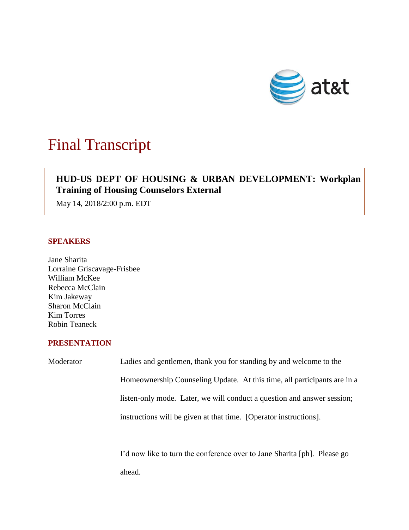

# Final Transcript

# **HUD-US DEPT OF HOUSING & URBAN DEVELOPMENT: Workplan Training of Housing Counselors External**

May 14, 2018/2:00 p.m. EDT

# **SPEAKERS**

Jane Sharita Lorraine Griscavage-Frisbee William McKee Rebecca McClain Kim Jakeway Sharon McClain Kim Torres Robin Teaneck

# **PRESENTATION**

| Moderator | Ladies and gentlemen, thank you for standing by and welcome to the       |
|-----------|--------------------------------------------------------------------------|
|           | Homeownership Counseling Update. At this time, all participants are in a |
|           | listen-only mode. Later, we will conduct a question and answer session;  |
|           | instructions will be given at that time. [Operator instructions].        |
|           |                                                                          |

I'd now like to turn the conference over to Jane Sharita [ph]. Please go ahead.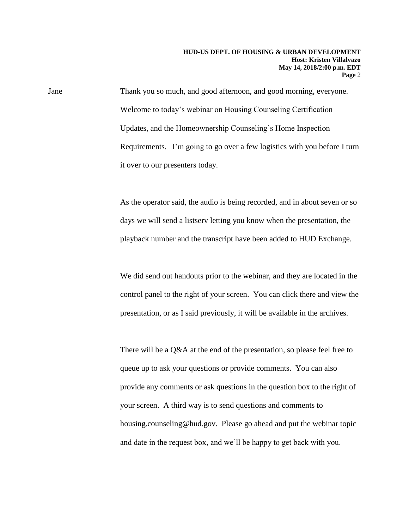Jane Thank you so much, and good afternoon, and good morning, everyone. Welcome to today's webinar on Housing Counseling Certification Updates, and the Homeownership Counseling's Home Inspection Requirements. I'm going to go over a few logistics with you before I turn it over to our presenters today.

> As the operator said, the audio is being recorded, and in about seven or so days we will send a listserv letting you know when the presentation, the playback number and the transcript have been added to HUD Exchange.

> We did send out handouts prior to the webinar, and they are located in the control panel to the right of your screen. You can click there and view the presentation, or as I said previously, it will be available in the archives.

> There will be a Q&A at the end of the presentation, so please feel free to queue up to ask your questions or provide comments. You can also provide any comments or ask questions in the question box to the right of your screen. A third way is to send questions and comments to housing.counseling@hud.gov. Please go ahead and put the webinar topic and date in the request box, and we'll be happy to get back with you.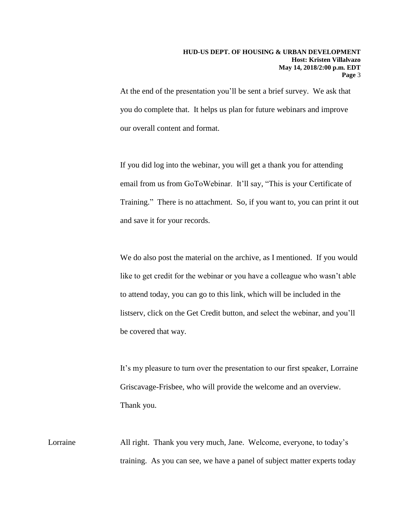At the end of the presentation you'll be sent a brief survey. We ask that you do complete that. It helps us plan for future webinars and improve our overall content and format.

If you did log into the webinar, you will get a thank you for attending email from us from GoToWebinar. It'll say, "This is your Certificate of Training." There is no attachment. So, if you want to, you can print it out and save it for your records.

We do also post the material on the archive, as I mentioned. If you would like to get credit for the webinar or you have a colleague who wasn't able to attend today, you can go to this link, which will be included in the listserv, click on the Get Credit button, and select the webinar, and you'll be covered that way.

It's my pleasure to turn over the presentation to our first speaker, Lorraine Griscavage-Frisbee, who will provide the welcome and an overview. Thank you.

Lorraine All right. Thank you very much, Jane. Welcome, everyone, to today's training. As you can see, we have a panel of subject matter experts today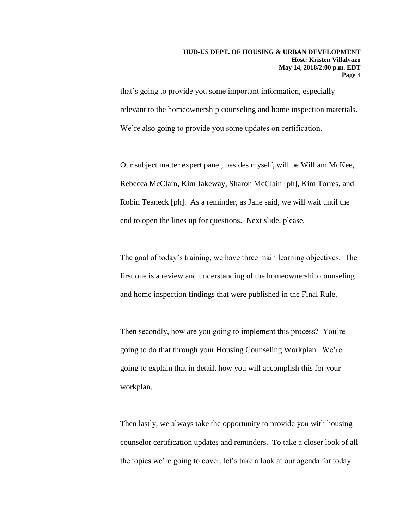that's going to provide you some important information, especially relevant to the homeownership counseling and home inspection materials. We're also going to provide you some updates on certification.

Our subject matter expert panel, besides myself, will be William McKee, Rebecca McClain, Kim Jakeway, Sharon McClain [ph], Kim Torres, and Robin Teaneck [ph]. As a reminder, as Jane said, we will wait until the end to open the lines up for questions. Next slide, please.

The goal of today's training, we have three main learning objectives. The first one is a review and understanding of the homeownership counseling and home inspection findings that were published in the Final Rule.

Then secondly, how are you going to implement this process? You're going to do that through your Housing Counseling Workplan. We're going to explain that in detail, how you will accomplish this for your workplan.

Then lastly, we always take the opportunity to provide you with housing counselor certification updates and reminders. To take a closer look of all the topics we're going to cover, let's take a look at our agenda for today.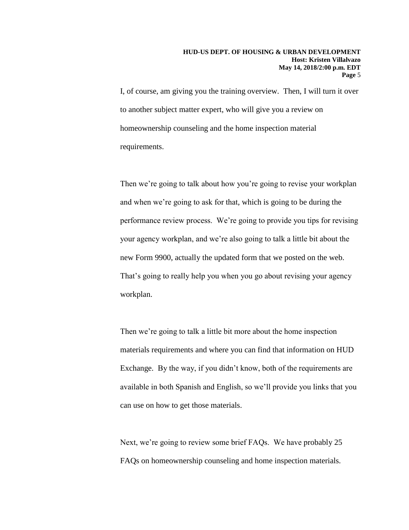I, of course, am giving you the training overview. Then, I will turn it over to another subject matter expert, who will give you a review on homeownership counseling and the home inspection material requirements.

Then we're going to talk about how you're going to revise your workplan and when we're going to ask for that, which is going to be during the performance review process. We're going to provide you tips for revising your agency workplan, and we're also going to talk a little bit about the new Form 9900, actually the updated form that we posted on the web. That's going to really help you when you go about revising your agency workplan.

Then we're going to talk a little bit more about the home inspection materials requirements and where you can find that information on HUD Exchange. By the way, if you didn't know, both of the requirements are available in both Spanish and English, so we'll provide you links that you can use on how to get those materials.

Next, we're going to review some brief FAQs. We have probably 25 FAQs on homeownership counseling and home inspection materials.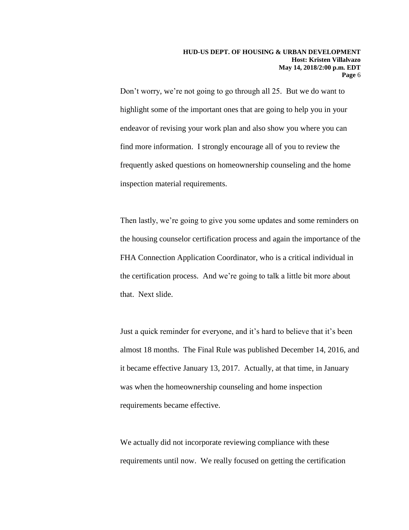Don't worry, we're not going to go through all 25. But we do want to highlight some of the important ones that are going to help you in your endeavor of revising your work plan and also show you where you can find more information. I strongly encourage all of you to review the frequently asked questions on homeownership counseling and the home inspection material requirements.

Then lastly, we're going to give you some updates and some reminders on the housing counselor certification process and again the importance of the FHA Connection Application Coordinator, who is a critical individual in the certification process. And we're going to talk a little bit more about that. Next slide.

Just a quick reminder for everyone, and it's hard to believe that it's been almost 18 months. The Final Rule was published December 14, 2016, and it became effective January 13, 2017. Actually, at that time, in January was when the homeownership counseling and home inspection requirements became effective.

We actually did not incorporate reviewing compliance with these requirements until now. We really focused on getting the certification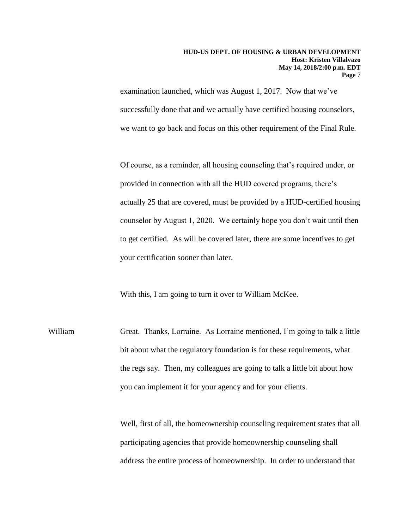examination launched, which was August 1, 2017. Now that we've successfully done that and we actually have certified housing counselors, we want to go back and focus on this other requirement of the Final Rule.

Of course, as a reminder, all housing counseling that's required under, or provided in connection with all the HUD covered programs, there's actually 25 that are covered, must be provided by a HUD-certified housing counselor by August 1, 2020. We certainly hope you don't wait until then to get certified. As will be covered later, there are some incentives to get your certification sooner than later.

With this, I am going to turn it over to William McKee.

William Great. Thanks, Lorraine. As Lorraine mentioned, I'm going to talk a little bit about what the regulatory foundation is for these requirements, what the regs say. Then, my colleagues are going to talk a little bit about how you can implement it for your agency and for your clients.

> Well, first of all, the homeownership counseling requirement states that all participating agencies that provide homeownership counseling shall address the entire process of homeownership. In order to understand that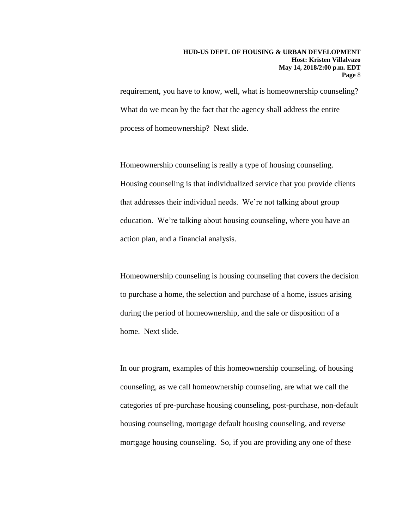requirement, you have to know, well, what is homeownership counseling? What do we mean by the fact that the agency shall address the entire process of homeownership? Next slide.

Homeownership counseling is really a type of housing counseling. Housing counseling is that individualized service that you provide clients that addresses their individual needs. We're not talking about group education. We're talking about housing counseling, where you have an action plan, and a financial analysis.

Homeownership counseling is housing counseling that covers the decision to purchase a home, the selection and purchase of a home, issues arising during the period of homeownership, and the sale or disposition of a home. Next slide.

In our program, examples of this homeownership counseling, of housing counseling, as we call homeownership counseling, are what we call the categories of pre-purchase housing counseling, post-purchase, non-default housing counseling, mortgage default housing counseling, and reverse mortgage housing counseling. So, if you are providing any one of these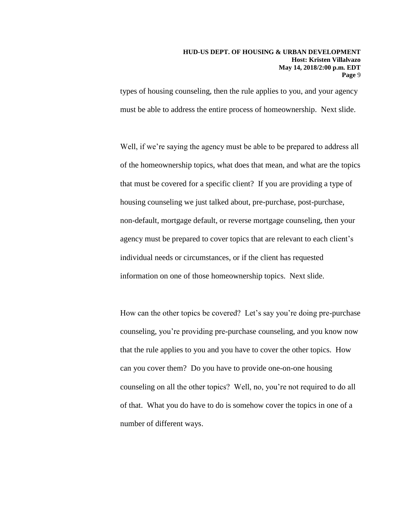types of housing counseling, then the rule applies to you, and your agency must be able to address the entire process of homeownership. Next slide.

Well, if we're saying the agency must be able to be prepared to address all of the homeownership topics, what does that mean, and what are the topics that must be covered for a specific client? If you are providing a type of housing counseling we just talked about, pre-purchase, post-purchase, non-default, mortgage default, or reverse mortgage counseling, then your agency must be prepared to cover topics that are relevant to each client's individual needs or circumstances, or if the client has requested information on one of those homeownership topics. Next slide.

How can the other topics be covered? Let's say you're doing pre-purchase counseling, you're providing pre-purchase counseling, and you know now that the rule applies to you and you have to cover the other topics. How can you cover them? Do you have to provide one-on-one housing counseling on all the other topics? Well, no, you're not required to do all of that. What you do have to do is somehow cover the topics in one of a number of different ways.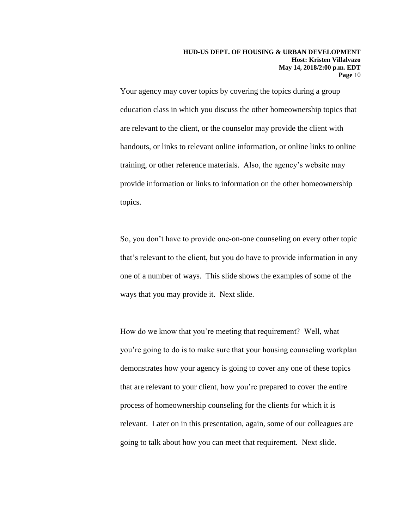Your agency may cover topics by covering the topics during a group education class in which you discuss the other homeownership topics that are relevant to the client, or the counselor may provide the client with handouts, or links to relevant online information, or online links to online training, or other reference materials. Also, the agency's website may provide information or links to information on the other homeownership topics.

So, you don't have to provide one-on-one counseling on every other topic that's relevant to the client, but you do have to provide information in any one of a number of ways. This slide shows the examples of some of the ways that you may provide it. Next slide.

How do we know that you're meeting that requirement? Well, what you're going to do is to make sure that your housing counseling workplan demonstrates how your agency is going to cover any one of these topics that are relevant to your client, how you're prepared to cover the entire process of homeownership counseling for the clients for which it is relevant. Later on in this presentation, again, some of our colleagues are going to talk about how you can meet that requirement. Next slide.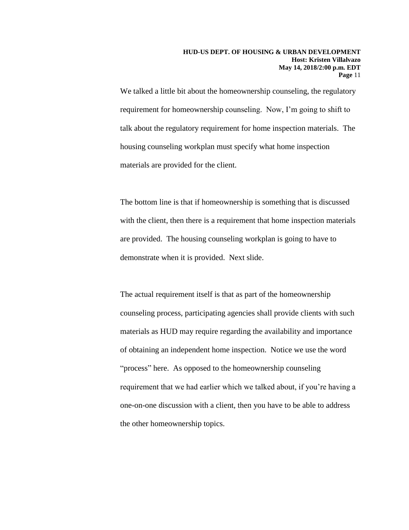We talked a little bit about the homeownership counseling, the regulatory requirement for homeownership counseling. Now, I'm going to shift to talk about the regulatory requirement for home inspection materials. The housing counseling workplan must specify what home inspection materials are provided for the client.

The bottom line is that if homeownership is something that is discussed with the client, then there is a requirement that home inspection materials are provided. The housing counseling workplan is going to have to demonstrate when it is provided. Next slide.

The actual requirement itself is that as part of the homeownership counseling process, participating agencies shall provide clients with such materials as HUD may require regarding the availability and importance of obtaining an independent home inspection. Notice we use the word "process" here. As opposed to the homeownership counseling requirement that we had earlier which we talked about, if you're having a one-on-one discussion with a client, then you have to be able to address the other homeownership topics.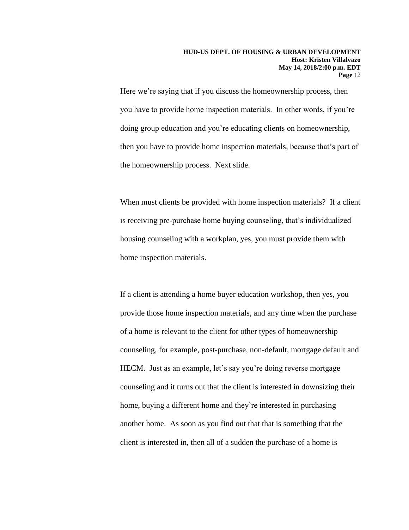Here we're saying that if you discuss the homeownership process, then you have to provide home inspection materials. In other words, if you're doing group education and you're educating clients on homeownership, then you have to provide home inspection materials, because that's part of the homeownership process. Next slide.

When must clients be provided with home inspection materials? If a client is receiving pre-purchase home buying counseling, that's individualized housing counseling with a workplan, yes, you must provide them with home inspection materials.

If a client is attending a home buyer education workshop, then yes, you provide those home inspection materials, and any time when the purchase of a home is relevant to the client for other types of homeownership counseling, for example, post-purchase, non-default, mortgage default and HECM. Just as an example, let's say you're doing reverse mortgage counseling and it turns out that the client is interested in downsizing their home, buying a different home and they're interested in purchasing another home. As soon as you find out that that is something that the client is interested in, then all of a sudden the purchase of a home is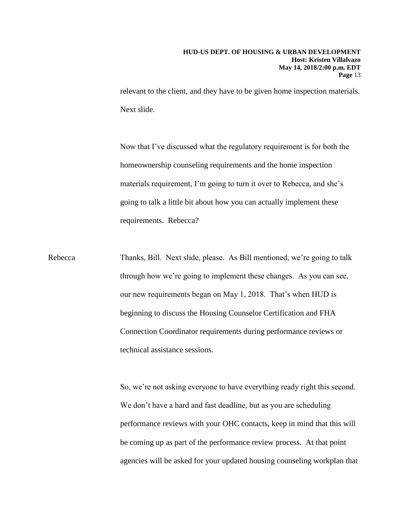relevant to the client, and they have to be given home inspection materials. Next slide.

Now that I've discussed what the regulatory requirement is for both the homeownership counseling requirements and the home inspection materials requirement, I'm going to turn it over to Rebecca, and she's going to talk a little bit about how you can actually implement these requirements. Rebecca?

Rebecca Thanks, Bill. Next slide, please. As Bill mentioned, we're going to talk through how we're going to implement these changes. As you can see, our new requirements began on May 1, 2018. That's when HUD is beginning to discuss the Housing Counselor Certification and FHA Connection Coordinator requirements during performance reviews or technical assistance sessions.

> So, we're not asking everyone to have everything ready right this second. We don't have a hard and fast deadline, but as you are scheduling performance reviews with your OHC contacts, keep in mind that this will be coming up as part of the performance review process. At that point agencies will be asked for your updated housing counseling workplan that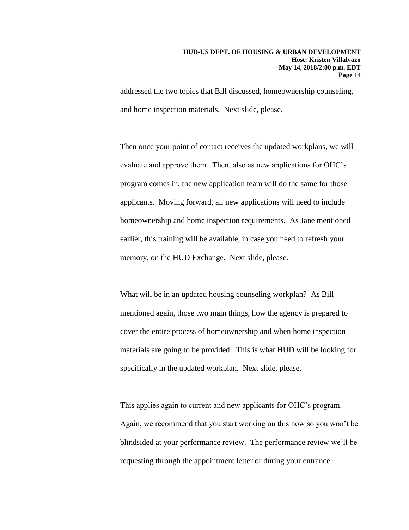addressed the two topics that Bill discussed, homeownership counseling, and home inspection materials. Next slide, please.

Then once your point of contact receives the updated workplans, we will evaluate and approve them. Then, also as new applications for OHC's program comes in, the new application team will do the same for those applicants. Moving forward, all new applications will need to include homeownership and home inspection requirements. As Jane mentioned earlier, this training will be available, in case you need to refresh your memory, on the HUD Exchange. Next slide, please.

What will be in an updated housing counseling workplan? As Bill mentioned again, those two main things, how the agency is prepared to cover the entire process of homeownership and when home inspection materials are going to be provided. This is what HUD will be looking for specifically in the updated workplan. Next slide, please.

This applies again to current and new applicants for OHC's program. Again, we recommend that you start working on this now so you won't be blindsided at your performance review. The performance review we'll be requesting through the appointment letter or during your entrance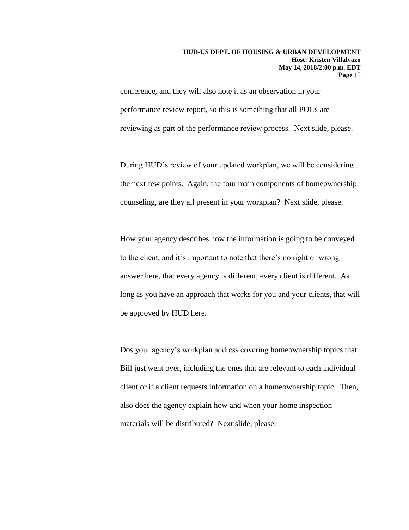conference, and they will also note it as an observation in your performance review report, so this is something that all POCs are reviewing as part of the performance review process. Next slide, please.

During HUD's review of your updated workplan, we will be considering the next few points. Again, the four main components of homeownership counseling, are they all present in your workplan? Next slide, please.

How your agency describes how the information is going to be conveyed to the client, and it's important to note that there's no right or wrong answer here, that every agency is different, every client is different. As long as you have an approach that works for you and your clients, that will be approved by HUD here.

Dos your agency's workplan address covering homeownership topics that Bill just went over, including the ones that are relevant to each individual client or if a client requests information on a homeownership topic. Then, also does the agency explain how and when your home inspection materials will be distributed? Next slide, please.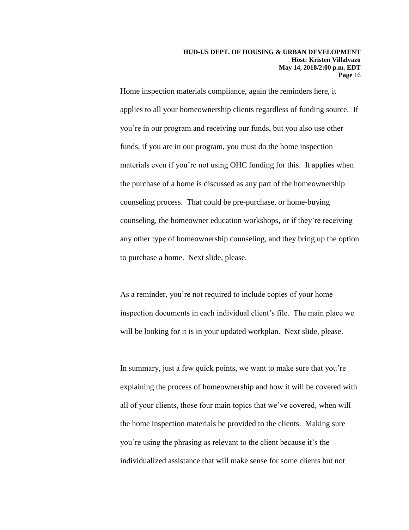Home inspection materials compliance, again the reminders here, it applies to all your homeownership clients regardless of funding source. If you're in our program and receiving our funds, but you also use other funds, if you are in our program, you must do the home inspection materials even if you're not using OHC funding for this. It applies when the purchase of a home is discussed as any part of the homeownership counseling process. That could be pre-purchase, or home-buying counseling, the homeowner education workshops, or if they're receiving any other type of homeownership counseling, and they bring up the option to purchase a home. Next slide, please.

As a reminder, you're not required to include copies of your home inspection documents in each individual client's file. The main place we will be looking for it is in your updated workplan. Next slide, please.

In summary, just a few quick points, we want to make sure that you're explaining the process of homeownership and how it will be covered with all of your clients, those four main topics that we've covered, when will the home inspection materials be provided to the clients. Making sure you're using the phrasing as relevant to the client because it's the individualized assistance that will make sense for some clients but not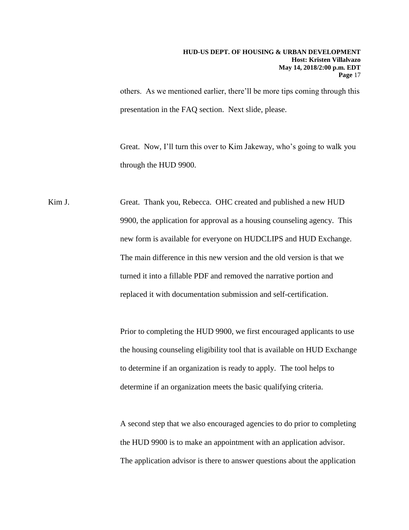others. As we mentioned earlier, there'll be more tips coming through this presentation in the FAQ section. Next slide, please.

Great. Now, I'll turn this over to Kim Jakeway, who's going to walk you through the HUD 9900.

Kim J. Great. Thank you, Rebecca. OHC created and published a new HUD 9900, the application for approval as a housing counseling agency. This new form is available for everyone on HUDCLIPS and HUD Exchange. The main difference in this new version and the old version is that we turned it into a fillable PDF and removed the narrative portion and replaced it with documentation submission and self-certification.

> Prior to completing the HUD 9900, we first encouraged applicants to use the housing counseling eligibility tool that is available on HUD Exchange to determine if an organization is ready to apply. The tool helps to determine if an organization meets the basic qualifying criteria.

> A second step that we also encouraged agencies to do prior to completing the HUD 9900 is to make an appointment with an application advisor. The application advisor is there to answer questions about the application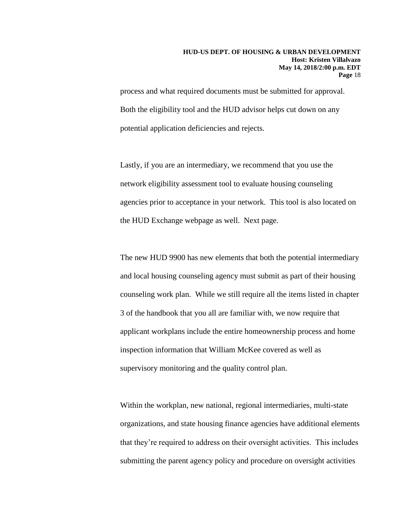process and what required documents must be submitted for approval. Both the eligibility tool and the HUD advisor helps cut down on any potential application deficiencies and rejects.

Lastly, if you are an intermediary, we recommend that you use the network eligibility assessment tool to evaluate housing counseling agencies prior to acceptance in your network. This tool is also located on the HUD Exchange webpage as well. Next page.

The new HUD 9900 has new elements that both the potential intermediary and local housing counseling agency must submit as part of their housing counseling work plan. While we still require all the items listed in chapter 3 of the handbook that you all are familiar with, we now require that applicant workplans include the entire homeownership process and home inspection information that William McKee covered as well as supervisory monitoring and the quality control plan.

Within the workplan, new national, regional intermediaries, multi-state organizations, and state housing finance agencies have additional elements that they're required to address on their oversight activities. This includes submitting the parent agency policy and procedure on oversight activities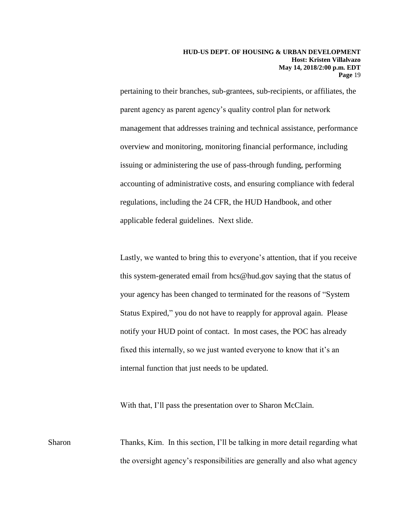pertaining to their branches, sub-grantees, sub-recipients, or affiliates, the parent agency as parent agency's quality control plan for network management that addresses training and technical assistance, performance overview and monitoring, monitoring financial performance, including issuing or administering the use of pass-through funding, performing accounting of administrative costs, and ensuring compliance with federal regulations, including the 24 CFR, the HUD Handbook, and other applicable federal guidelines. Next slide.

Lastly, we wanted to bring this to everyone's attention, that if you receive this system-generated email from hcs@hud.gov saying that the status of your agency has been changed to terminated for the reasons of "System Status Expired," you do not have to reapply for approval again. Please notify your HUD point of contact. In most cases, the POC has already fixed this internally, so we just wanted everyone to know that it's an internal function that just needs to be updated.

With that, I'll pass the presentation over to Sharon McClain.

Sharon Thanks, Kim. In this section, I'll be talking in more detail regarding what the oversight agency's responsibilities are generally and also what agency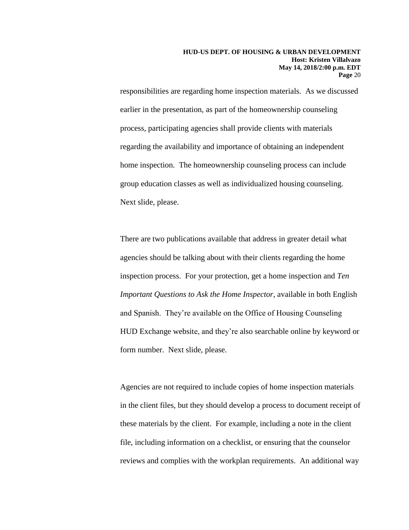responsibilities are regarding home inspection materials. As we discussed earlier in the presentation, as part of the homeownership counseling process, participating agencies shall provide clients with materials regarding the availability and importance of obtaining an independent home inspection. The homeownership counseling process can include group education classes as well as individualized housing counseling. Next slide, please.

There are two publications available that address in greater detail what agencies should be talking about with their clients regarding the home inspection process. For your protection, get a home inspection and *Ten Important Questions to Ask the Home Inspector*, available in both English and Spanish. They're available on the Office of Housing Counseling HUD Exchange website, and they're also searchable online by keyword or form number. Next slide, please.

Agencies are not required to include copies of home inspection materials in the client files, but they should develop a process to document receipt of these materials by the client. For example, including a note in the client file, including information on a checklist, or ensuring that the counselor reviews and complies with the workplan requirements. An additional way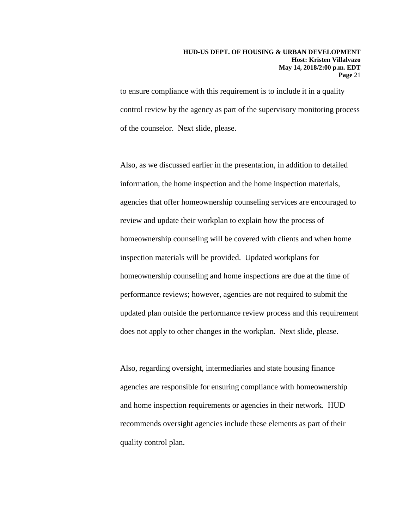to ensure compliance with this requirement is to include it in a quality control review by the agency as part of the supervisory monitoring process of the counselor. Next slide, please.

Also, as we discussed earlier in the presentation, in addition to detailed information, the home inspection and the home inspection materials, agencies that offer homeownership counseling services are encouraged to review and update their workplan to explain how the process of homeownership counseling will be covered with clients and when home inspection materials will be provided. Updated workplans for homeownership counseling and home inspections are due at the time of performance reviews; however, agencies are not required to submit the updated plan outside the performance review process and this requirement does not apply to other changes in the workplan. Next slide, please.

Also, regarding oversight, intermediaries and state housing finance agencies are responsible for ensuring compliance with homeownership and home inspection requirements or agencies in their network. HUD recommends oversight agencies include these elements as part of their quality control plan.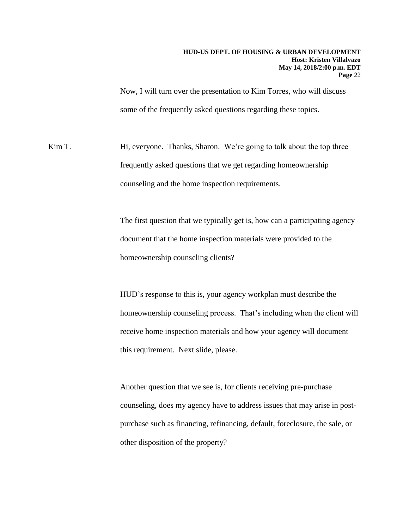Now, I will turn over the presentation to Kim Torres, who will discuss some of the frequently asked questions regarding these topics.

Kim T. Hi, everyone. Thanks, Sharon. We're going to talk about the top three frequently asked questions that we get regarding homeownership counseling and the home inspection requirements.

> The first question that we typically get is, how can a participating agency document that the home inspection materials were provided to the homeownership counseling clients?

HUD's response to this is, your agency workplan must describe the homeownership counseling process. That's including when the client will receive home inspection materials and how your agency will document this requirement. Next slide, please.

Another question that we see is, for clients receiving pre-purchase counseling, does my agency have to address issues that may arise in postpurchase such as financing, refinancing, default, foreclosure, the sale, or other disposition of the property?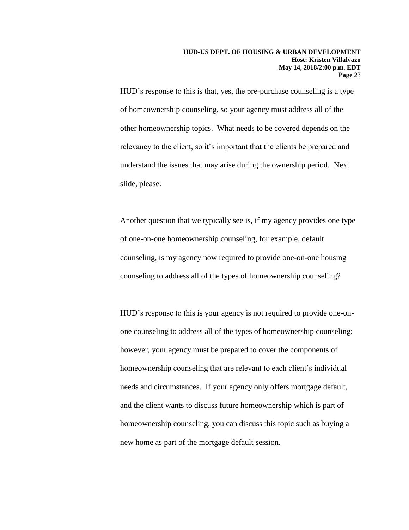HUD's response to this is that, yes, the pre-purchase counseling is a type of homeownership counseling, so your agency must address all of the other homeownership topics. What needs to be covered depends on the relevancy to the client, so it's important that the clients be prepared and understand the issues that may arise during the ownership period. Next slide, please.

Another question that we typically see is, if my agency provides one type of one-on-one homeownership counseling, for example, default counseling, is my agency now required to provide one-on-one housing counseling to address all of the types of homeownership counseling?

HUD's response to this is your agency is not required to provide one-onone counseling to address all of the types of homeownership counseling; however, your agency must be prepared to cover the components of homeownership counseling that are relevant to each client's individual needs and circumstances. If your agency only offers mortgage default, and the client wants to discuss future homeownership which is part of homeownership counseling, you can discuss this topic such as buying a new home as part of the mortgage default session.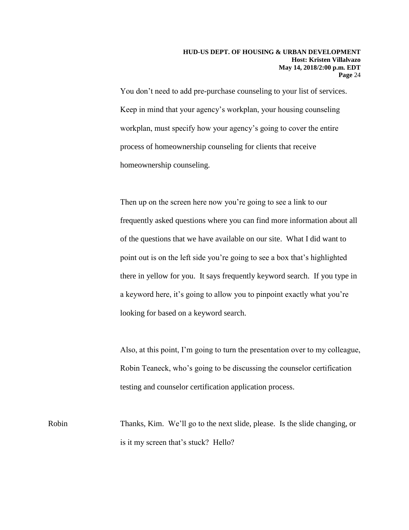You don't need to add pre-purchase counseling to your list of services. Keep in mind that your agency's workplan, your housing counseling workplan, must specify how your agency's going to cover the entire process of homeownership counseling for clients that receive homeownership counseling.

Then up on the screen here now you're going to see a link to our frequently asked questions where you can find more information about all of the questions that we have available on our site. What I did want to point out is on the left side you're going to see a box that's highlighted there in yellow for you. It says frequently keyword search. If you type in a keyword here, it's going to allow you to pinpoint exactly what you're looking for based on a keyword search.

Also, at this point, I'm going to turn the presentation over to my colleague, Robin Teaneck, who's going to be discussing the counselor certification testing and counselor certification application process.

Robin Thanks, Kim. We'll go to the next slide, please. Is the slide changing, or is it my screen that's stuck? Hello?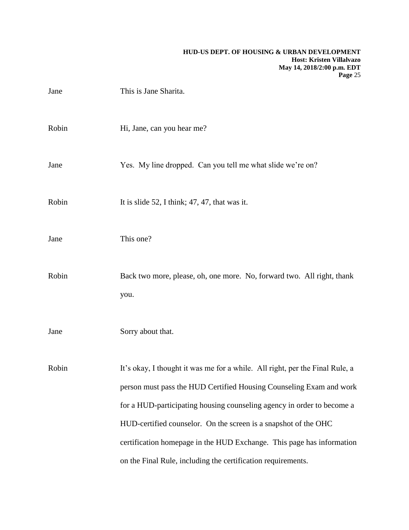| Jane  | This is Jane Sharita.                                                                                                                                                                                                                                                                                                                                                     |
|-------|---------------------------------------------------------------------------------------------------------------------------------------------------------------------------------------------------------------------------------------------------------------------------------------------------------------------------------------------------------------------------|
| Robin | Hi, Jane, can you hear me?                                                                                                                                                                                                                                                                                                                                                |
| Jane  | Yes. My line dropped. Can you tell me what slide we're on?                                                                                                                                                                                                                                                                                                                |
| Robin | It is slide 52, I think; $47, 47$ , that was it.                                                                                                                                                                                                                                                                                                                          |
| Jane  | This one?                                                                                                                                                                                                                                                                                                                                                                 |
| Robin | Back two more, please, oh, one more. No, forward two. All right, thank<br>you.                                                                                                                                                                                                                                                                                            |
| Jane  | Sorry about that.                                                                                                                                                                                                                                                                                                                                                         |
| Robin | It's okay, I thought it was me for a while. All right, per the Final Rule, a<br>person must pass the HUD Certified Housing Counseling Exam and work<br>for a HUD-participating housing counseling agency in order to become a<br>HUD-certified counselor. On the screen is a snapshot of the OHC<br>certification homepage in the HUD Exchange. This page has information |
|       | on the Final Rule, including the certification requirements.                                                                                                                                                                                                                                                                                                              |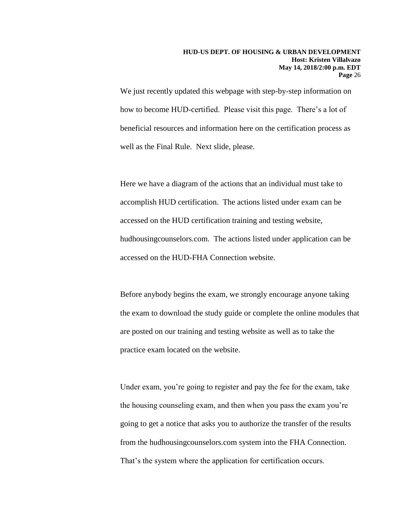We just recently updated this webpage with step-by-step information on how to become HUD-certified. Please visit this page. There's a lot of beneficial resources and information here on the certification process as well as the Final Rule. Next slide, please.

Here we have a diagram of the actions that an individual must take to accomplish HUD certification. The actions listed under exam can be accessed on the HUD certification training and testing website, hudhousingcounselors.com. The actions listed under application can be accessed on the HUD-FHA Connection website.

Before anybody begins the exam, we strongly encourage anyone taking the exam to download the study guide or complete the online modules that are posted on our training and testing website as well as to take the practice exam located on the website.

Under exam, you're going to register and pay the fee for the exam, take the housing counseling exam, and then when you pass the exam you're going to get a notice that asks you to authorize the transfer of the results from the hudhousingcounselors.com system into the FHA Connection. That's the system where the application for certification occurs.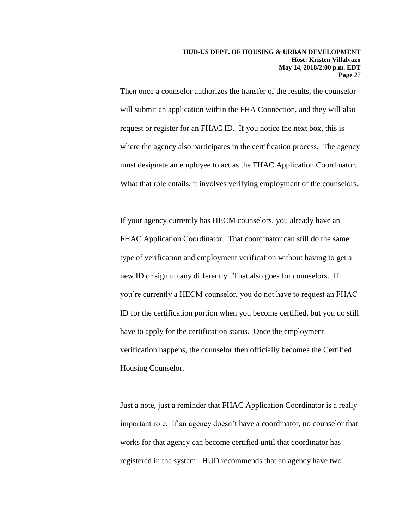Then once a counselor authorizes the transfer of the results, the counselor will submit an application within the FHA Connection, and they will also request or register for an FHAC ID. If you notice the next box, this is where the agency also participates in the certification process. The agency must designate an employee to act as the FHAC Application Coordinator. What that role entails, it involves verifying employment of the counselors.

If your agency currently has HECM counselors, you already have an FHAC Application Coordinator. That coordinator can still do the same type of verification and employment verification without having to get a new ID or sign up any differently. That also goes for counselors. If you're currently a HECM counselor, you do not have to request an FHAC ID for the certification portion when you become certified, but you do still have to apply for the certification status. Once the employment verification happens, the counselor then officially becomes the Certified Housing Counselor.

Just a note, just a reminder that FHAC Application Coordinator is a really important role. If an agency doesn't have a coordinator, no counselor that works for that agency can become certified until that coordinator has registered in the system. HUD recommends that an agency have two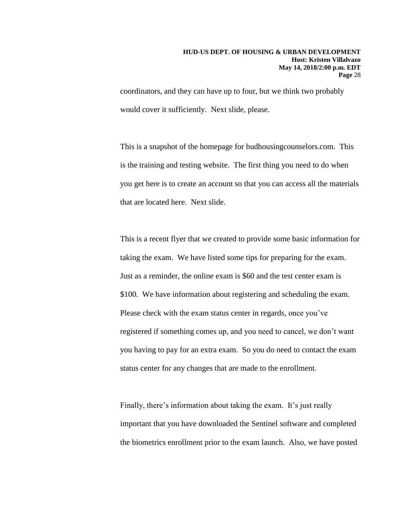coordinators, and they can have up to four, but we think two probably would cover it sufficiently. Next slide, please.

This is a snapshot of the homepage for hudhousingcounselors.com. This is the training and testing website. The first thing you need to do when you get here is to create an account so that you can access all the materials that are located here. Next slide.

This is a recent flyer that we created to provide some basic information for taking the exam. We have listed some tips for preparing for the exam. Just as a reminder, the online exam is \$60 and the test center exam is \$100. We have information about registering and scheduling the exam. Please check with the exam status center in regards, once you've registered if something comes up, and you need to cancel, we don't want you having to pay for an extra exam. So you do need to contact the exam status center for any changes that are made to the enrollment.

Finally, there's information about taking the exam. It's just really important that you have downloaded the Sentinel software and completed the biometrics enrollment prior to the exam launch. Also, we have posted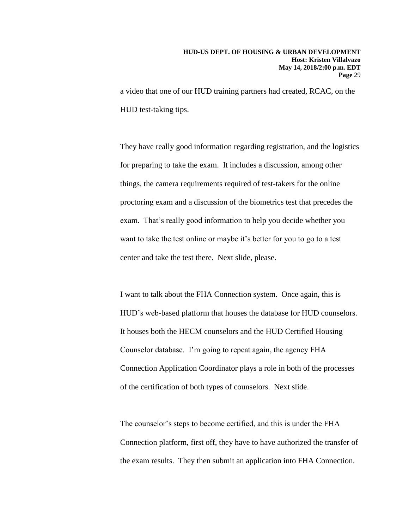a video that one of our HUD training partners had created, RCAC, on the HUD test-taking tips.

They have really good information regarding registration, and the logistics for preparing to take the exam. It includes a discussion, among other things, the camera requirements required of test-takers for the online proctoring exam and a discussion of the biometrics test that precedes the exam. That's really good information to help you decide whether you want to take the test online or maybe it's better for you to go to a test center and take the test there. Next slide, please.

I want to talk about the FHA Connection system. Once again, this is HUD's web-based platform that houses the database for HUD counselors. It houses both the HECM counselors and the HUD Certified Housing Counselor database. I'm going to repeat again, the agency FHA Connection Application Coordinator plays a role in both of the processes of the certification of both types of counselors. Next slide.

The counselor's steps to become certified, and this is under the FHA Connection platform, first off, they have to have authorized the transfer of the exam results. They then submit an application into FHA Connection.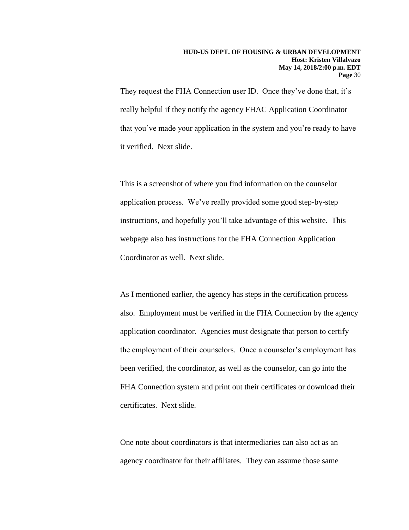They request the FHA Connection user ID. Once they've done that, it's really helpful if they notify the agency FHAC Application Coordinator that you've made your application in the system and you're ready to have it verified. Next slide.

This is a screenshot of where you find information on the counselor application process. We've really provided some good step-by-step instructions, and hopefully you'll take advantage of this website. This webpage also has instructions for the FHA Connection Application Coordinator as well. Next slide.

As I mentioned earlier, the agency has steps in the certification process also. Employment must be verified in the FHA Connection by the agency application coordinator. Agencies must designate that person to certify the employment of their counselors. Once a counselor's employment has been verified, the coordinator, as well as the counselor, can go into the FHA Connection system and print out their certificates or download their certificates. Next slide.

One note about coordinators is that intermediaries can also act as an agency coordinator for their affiliates. They can assume those same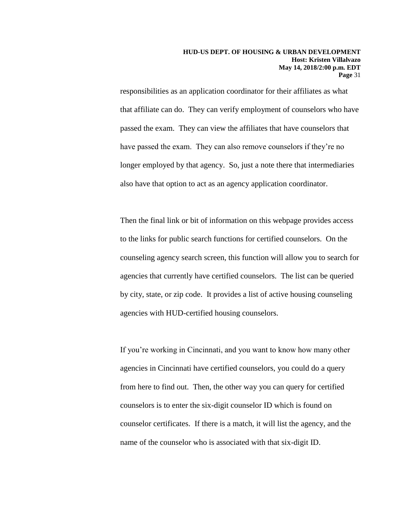responsibilities as an application coordinator for their affiliates as what that affiliate can do. They can verify employment of counselors who have passed the exam. They can view the affiliates that have counselors that have passed the exam. They can also remove counselors if they're no longer employed by that agency. So, just a note there that intermediaries also have that option to act as an agency application coordinator.

Then the final link or bit of information on this webpage provides access to the links for public search functions for certified counselors. On the counseling agency search screen, this function will allow you to search for agencies that currently have certified counselors. The list can be queried by city, state, or zip code. It provides a list of active housing counseling agencies with HUD-certified housing counselors.

If you're working in Cincinnati, and you want to know how many other agencies in Cincinnati have certified counselors, you could do a query from here to find out. Then, the other way you can query for certified counselors is to enter the six-digit counselor ID which is found on counselor certificates. If there is a match, it will list the agency, and the name of the counselor who is associated with that six-digit ID.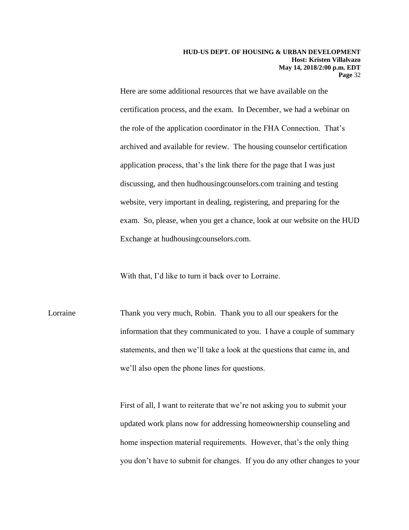Here are some additional resources that we have available on the certification process, and the exam. In December, we had a webinar on the role of the application coordinator in the FHA Connection. That's archived and available for review. The housing counselor certification application process, that's the link there for the page that I was just discussing, and then hudhousingcounselors.com training and testing website, very important in dealing, registering, and preparing for the exam. So, please, when you get a chance, look at our website on the HUD Exchange at hudhousingcounselors.com.

With that, I'd like to turn it back over to Lorraine.

Lorraine Thank you very much, Robin. Thank you to all our speakers for the information that they communicated to you. I have a couple of summary statements, and then we'll take a look at the questions that came in, and we'll also open the phone lines for questions.

> First of all, I want to reiterate that we're not asking you to submit your updated work plans now for addressing homeownership counseling and home inspection material requirements. However, that's the only thing you don't have to submit for changes. If you do any other changes to your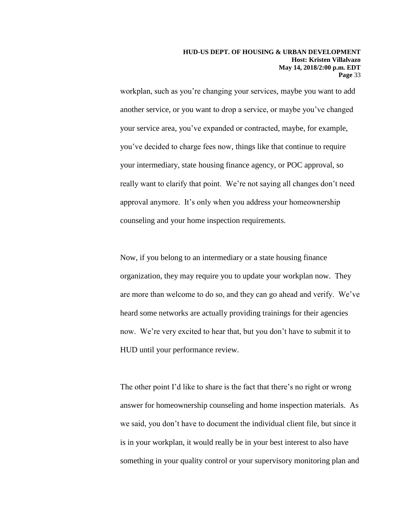workplan, such as you're changing your services, maybe you want to add another service, or you want to drop a service, or maybe you've changed your service area, you've expanded or contracted, maybe, for example, you've decided to charge fees now, things like that continue to require your intermediary, state housing finance agency, or POC approval, so really want to clarify that point. We're not saying all changes don't need approval anymore. It's only when you address your homeownership counseling and your home inspection requirements.

Now, if you belong to an intermediary or a state housing finance organization, they may require you to update your workplan now. They are more than welcome to do so, and they can go ahead and verify. We've heard some networks are actually providing trainings for their agencies now. We're very excited to hear that, but you don't have to submit it to HUD until your performance review.

The other point I'd like to share is the fact that there's no right or wrong answer for homeownership counseling and home inspection materials. As we said, you don't have to document the individual client file, but since it is in your workplan, it would really be in your best interest to also have something in your quality control or your supervisory monitoring plan and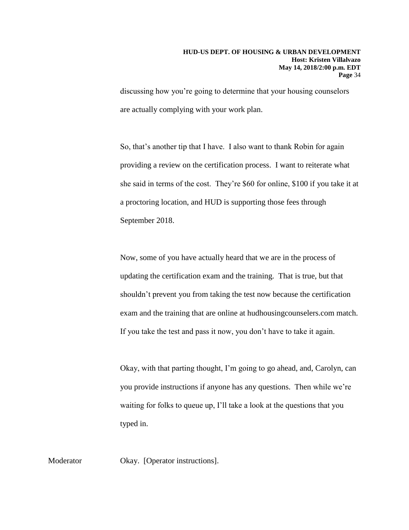discussing how you're going to determine that your housing counselors are actually complying with your work plan.

So, that's another tip that I have. I also want to thank Robin for again providing a review on the certification process. I want to reiterate what she said in terms of the cost. They're \$60 for online, \$100 if you take it at a proctoring location, and HUD is supporting those fees through September 2018.

Now, some of you have actually heard that we are in the process of updating the certification exam and the training. That is true, but that shouldn't prevent you from taking the test now because the certification exam and the training that are online at hudhousingcounselers.com match. If you take the test and pass it now, you don't have to take it again.

Okay, with that parting thought, I'm going to go ahead, and, Carolyn, can you provide instructions if anyone has any questions. Then while we're waiting for folks to queue up, I'll take a look at the questions that you typed in.

Moderator Okay. [Operator instructions].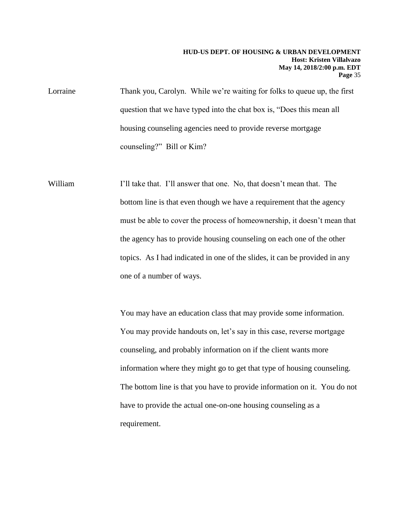Lorraine Thank you, Carolyn. While we're waiting for folks to queue up, the first question that we have typed into the chat box is, "Does this mean all housing counseling agencies need to provide reverse mortgage counseling?" Bill or Kim?

William I'll take that. I'll answer that one. No, that doesn't mean that. The bottom line is that even though we have a requirement that the agency must be able to cover the process of homeownership, it doesn't mean that the agency has to provide housing counseling on each one of the other topics. As I had indicated in one of the slides, it can be provided in any one of a number of ways.

> You may have an education class that may provide some information. You may provide handouts on, let's say in this case, reverse mortgage counseling, and probably information on if the client wants more information where they might go to get that type of housing counseling. The bottom line is that you have to provide information on it. You do not have to provide the actual one-on-one housing counseling as a requirement.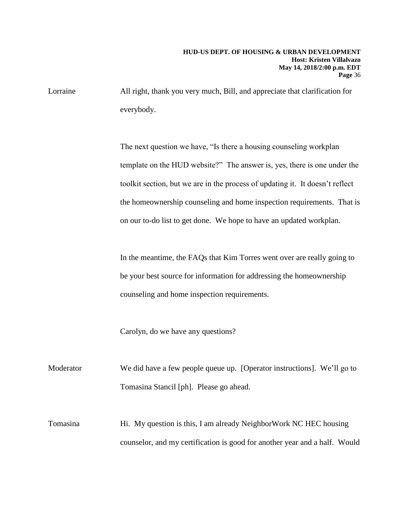Lorraine All right, thank you very much, Bill, and appreciate that clarification for everybody.

> The next question we have, "Is there a housing counseling workplan template on the HUD website?" The answer is, yes, there is one under the toolkit section, but we are in the process of updating it. It doesn't reflect the homeownership counseling and home inspection requirements. That is on our to-do list to get done. We hope to have an updated workplan.

In the meantime, the FAQs that Kim Torres went over are really going to be your best source for information for addressing the homeownership counseling and home inspection requirements.

Carolyn, do we have any questions?

Moderator We did have a few people queue up. [Operator instructions]. We'll go to Tomasina Stancil [ph]. Please go ahead.

Tomasina Hi. My question is this, I am already NeighborWork NC HEC housing counselor, and my certification is good for another year and a half. Would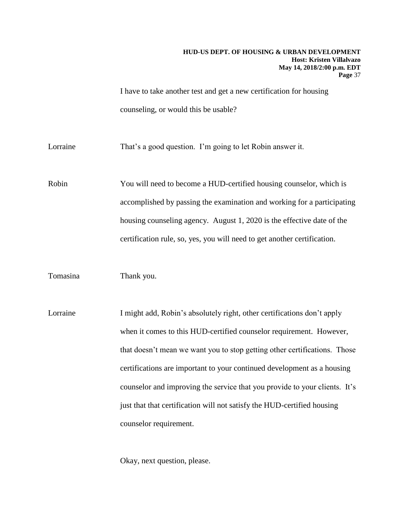I have to take another test and get a new certification for housing counseling, or would this be usable?

Lorraine That's a good question. I'm going to let Robin answer it.

Robin You will need to become a HUD-certified housing counselor, which is accomplished by passing the examination and working for a participating housing counseling agency. August 1, 2020 is the effective date of the certification rule, so, yes, you will need to get another certification.

Tomasina Thank you.

Lorraine I might add, Robin's absolutely right, other certifications don't apply when it comes to this HUD-certified counselor requirement. However, that doesn't mean we want you to stop getting other certifications. Those certifications are important to your continued development as a housing counselor and improving the service that you provide to your clients. It's just that that certification will not satisfy the HUD-certified housing counselor requirement.

Okay, next question, please.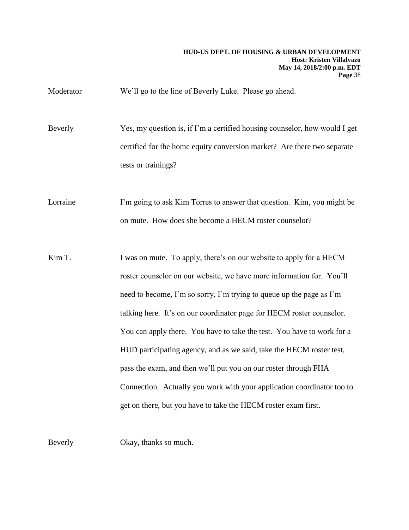Moderator We'll go to the line of Beverly Luke. Please go ahead.

Beverly Yes, my question is, if I'm a certified housing counselor, how would I get certified for the home equity conversion market? Are there two separate tests or trainings?

Lorraine I'm going to ask Kim Torres to answer that question. Kim, you might be on mute. How does she become a HECM roster counselor?

Kim T. I was on mute. To apply, there's on our website to apply for a HECM roster counselor on our website, we have more information for. You'll need to become, I'm so sorry, I'm trying to queue up the page as I'm talking here. It's on our coordinator page for HECM roster counselor. You can apply there. You have to take the test. You have to work for a HUD participating agency, and as we said, take the HECM roster test, pass the exam, and then we'll put you on our roster through FHA Connection. Actually you work with your application coordinator too to get on there, but you have to take the HECM roster exam first.

Beverly Okay, thanks so much.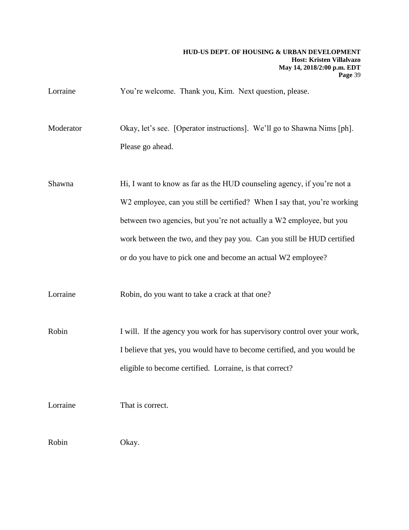Lorraine You're welcome. Thank you, Kim. Next question, please.

Moderator Okay, let's see. [Operator instructions]. We'll go to Shawna Nims [ph]. Please go ahead.

Shawna Hi, I want to know as far as the HUD counseling agency, if you're not a W<sub>2</sub> employee, can you still be certified? When I say that, you're working between two agencies, but you're not actually a W2 employee, but you work between the two, and they pay you. Can you still be HUD certified or do you have to pick one and become an actual W2 employee?

Lorraine Robin, do you want to take a crack at that one?

Robin I will. If the agency you work for has supervisory control over your work, I believe that yes, you would have to become certified, and you would be eligible to become certified. Lorraine, is that correct?

Lorraine That is correct.

Robin Okay.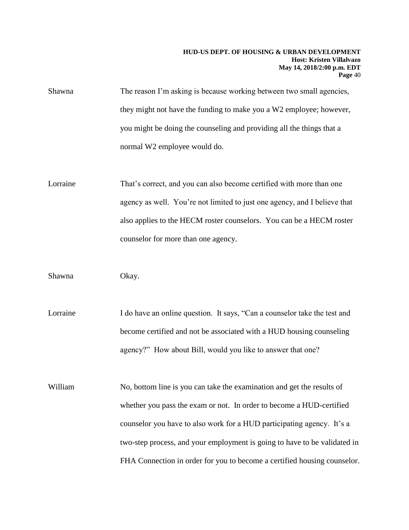Shawna The reason I'm asking is because working between two small agencies, they might not have the funding to make you a W2 employee; however, you might be doing the counseling and providing all the things that a normal W2 employee would do.

Lorraine That's correct, and you can also become certified with more than one agency as well. You're not limited to just one agency, and I believe that also applies to the HECM roster counselors. You can be a HECM roster counselor for more than one agency.

Shawna Okay.

Lorraine I do have an online question. It says, "Can a counselor take the test and become certified and not be associated with a HUD housing counseling agency?" How about Bill, would you like to answer that one?

William No, bottom line is you can take the examination and get the results of whether you pass the exam or not. In order to become a HUD-certified counselor you have to also work for a HUD participating agency. It's a two-step process, and your employment is going to have to be validated in FHA Connection in order for you to become a certified housing counselor.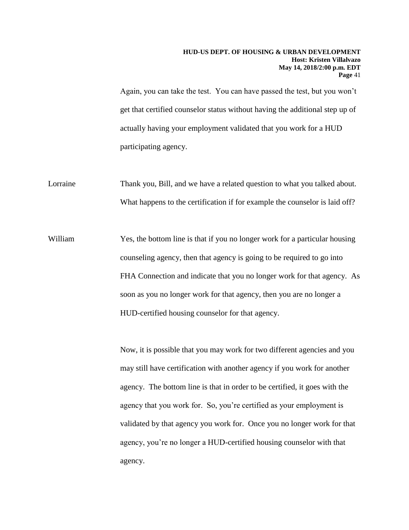Again, you can take the test. You can have passed the test, but you won't get that certified counselor status without having the additional step up of actually having your employment validated that you work for a HUD participating agency.

Lorraine Thank you, Bill, and we have a related question to what you talked about. What happens to the certification if for example the counselor is laid off?

William Yes, the bottom line is that if you no longer work for a particular housing counseling agency, then that agency is going to be required to go into FHA Connection and indicate that you no longer work for that agency. As soon as you no longer work for that agency, then you are no longer a HUD-certified housing counselor for that agency.

> Now, it is possible that you may work for two different agencies and you may still have certification with another agency if you work for another agency. The bottom line is that in order to be certified, it goes with the agency that you work for. So, you're certified as your employment is validated by that agency you work for. Once you no longer work for that agency, you're no longer a HUD-certified housing counselor with that agency.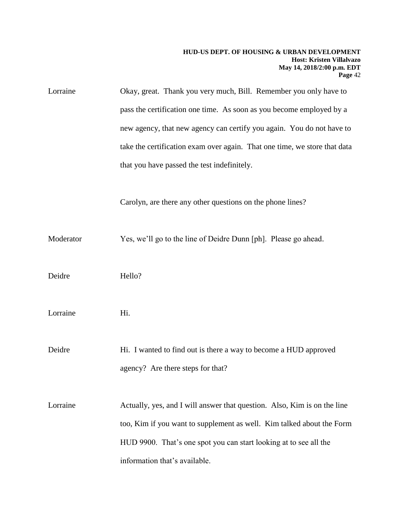| Lorraine  | Okay, great. Thank you very much, Bill. Remember you only have to                                                                                 |
|-----------|---------------------------------------------------------------------------------------------------------------------------------------------------|
|           | pass the certification one time. As soon as you become employed by a                                                                              |
|           | new agency, that new agency can certify you again. You do not have to                                                                             |
|           | take the certification exam over again. That one time, we store that data                                                                         |
|           | that you have passed the test indefinitely.                                                                                                       |
|           | Carolyn, are there any other questions on the phone lines?                                                                                        |
| Moderator | Yes, we'll go to the line of Deidre Dunn [ph]. Please go ahead.                                                                                   |
| Deidre    | Hello?                                                                                                                                            |
| Lorraine  | Hi.                                                                                                                                               |
| Deidre    | Hi. I wanted to find out is there a way to become a HUD approved<br>agency? Are there steps for that?                                             |
| Lorraine  | Actually, yes, and I will answer that question. Also, Kim is on the line<br>too, Kim if you want to supplement as well. Kim talked about the Form |
|           |                                                                                                                                                   |
|           | HUD 9900. That's one spot you can start looking at to see all the                                                                                 |
|           | information that's available.                                                                                                                     |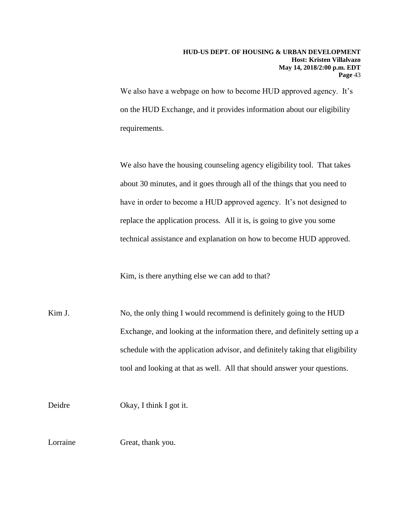We also have a webpage on how to become HUD approved agency. It's on the HUD Exchange, and it provides information about our eligibility requirements.

We also have the housing counseling agency eligibility tool. That takes about 30 minutes, and it goes through all of the things that you need to have in order to become a HUD approved agency. It's not designed to replace the application process. All it is, is going to give you some technical assistance and explanation on how to become HUD approved.

Kim, is there anything else we can add to that?

Kim J. No, the only thing I would recommend is definitely going to the HUD Exchange, and looking at the information there, and definitely setting up a schedule with the application advisor, and definitely taking that eligibility tool and looking at that as well. All that should answer your questions.

Deidre Okay, I think I got it.

Lorraine Great, thank you.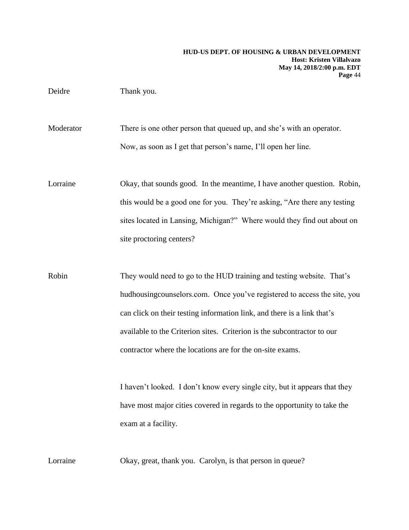# Deidre Thank you.

Moderator There is one other person that queued up, and she's with an operator. Now, as soon as I get that person's name, I'll open her line.

Lorraine Okay, that sounds good. In the meantime, I have another question. Robin, this would be a good one for you. They're asking, "Are there any testing sites located in Lansing, Michigan?" Where would they find out about on site proctoring centers?

Robin They would need to go to the HUD training and testing website. That's hudhousingcounselors.com. Once you've registered to access the site, you can click on their testing information link, and there is a link that's available to the Criterion sites. Criterion is the subcontractor to our contractor where the locations are for the on-site exams.

> I haven't looked. I don't know every single city, but it appears that they have most major cities covered in regards to the opportunity to take the exam at a facility.

Lorraine Okay, great, thank you. Carolyn, is that person in queue?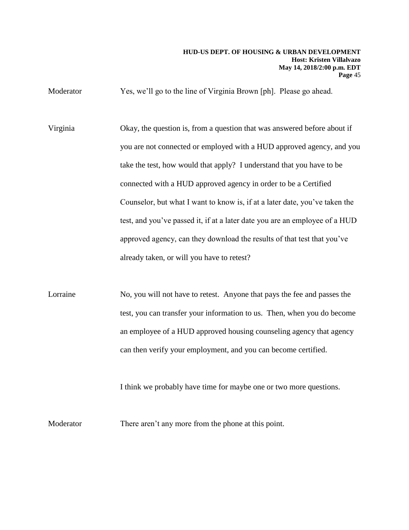Moderator Yes, we'll go to the line of Virginia Brown [ph]. Please go ahead.

- Virginia Okay, the question is, from a question that was answered before about if you are not connected or employed with a HUD approved agency, and you take the test, how would that apply? I understand that you have to be connected with a HUD approved agency in order to be a Certified Counselor, but what I want to know is, if at a later date, you've taken the test, and you've passed it, if at a later date you are an employee of a HUD approved agency, can they download the results of that test that you've already taken, or will you have to retest?
- Lorraine No, you will not have to retest. Anyone that pays the fee and passes the test, you can transfer your information to us. Then, when you do become an employee of a HUD approved housing counseling agency that agency can then verify your employment, and you can become certified.

I think we probably have time for maybe one or two more questions.

Moderator There aren't any more from the phone at this point.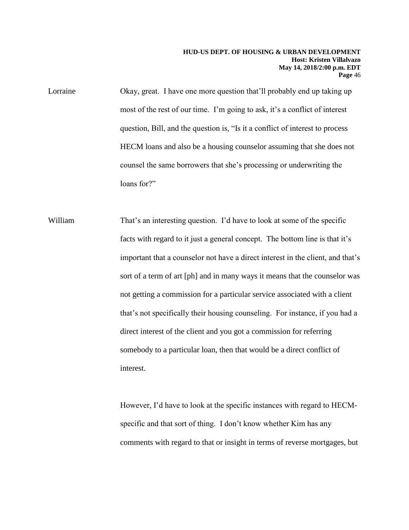Lorraine Okay, great. I have one more question that'll probably end up taking up most of the rest of our time. I'm going to ask, it's a conflict of interest question, Bill, and the question is, "Is it a conflict of interest to process HECM loans and also be a housing counselor assuming that she does not counsel the same borrowers that she's processing or underwriting the loans for?"

William That's an interesting question. I'd have to look at some of the specific facts with regard to it just a general concept. The bottom line is that it's important that a counselor not have a direct interest in the client, and that's sort of a term of art [ph] and in many ways it means that the counselor was not getting a commission for a particular service associated with a client that's not specifically their housing counseling. For instance, if you had a direct interest of the client and you got a commission for referring somebody to a particular loan, then that would be a direct conflict of interest.

> However, I'd have to look at the specific instances with regard to HECMspecific and that sort of thing. I don't know whether Kim has any comments with regard to that or insight in terms of reverse mortgages, but